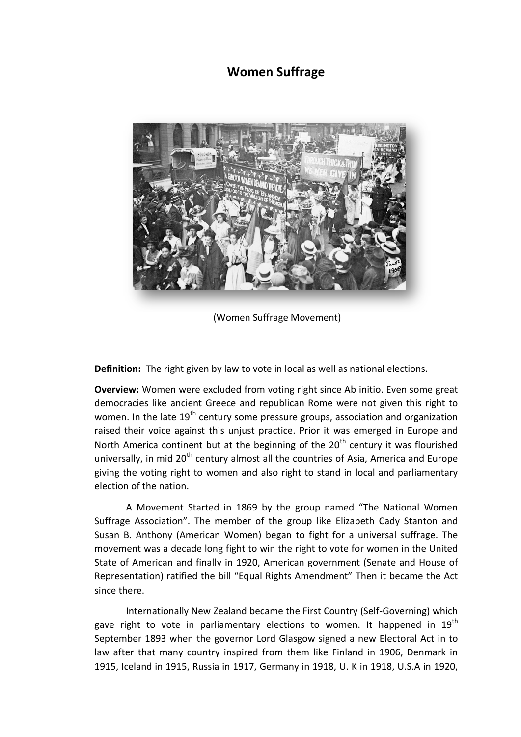## **Women Suffrage**



(Women Suffrage Movement)

**Definition:** The right given by law to vote in local as well as national elections.

**Overview:** Women were excluded from voting right since Ab initio. Even some great democracies like ancient Greece and republican Rome were not given this right to women. In the late  $19<sup>th</sup>$  century some pressure groups, association and organization raised their voice against this unjust practice. Prior it was emerged in Europe and North America continent but at the beginning of the  $20<sup>th</sup>$  century it was flourished universally, in mid  $20<sup>th</sup>$  century almost all the countries of Asia, America and Europe giving the voting right to women and also right to stand in local and parliamentary election of the nation.

A Movement Started in 1869 by the group named "The National Women Suffrage Association". The member of the group like Elizabeth Cady Stanton and Susan B. Anthony (American Women) began to fight for a universal suffrage. The movement was a decade long fight to win the right to vote for women in the United State of American and finally in 1920, American government (Senate and House of Representation) ratified the bill "Equal Rights Amendment" Then it became the Act since there.

Internationally New Zealand became the First Country (Self-Governing) which gave right to vote in parliamentary elections to women. It happened in 19<sup>th</sup> September 1893 when the governor Lord Glasgow signed a new Electoral Act in to law after that many country inspired from them like Finland in 1906, Denmark in 1915, Iceland in 1915, Russia in 1917, Germany in 1918, U. K in 1918, U.S.A in 1920,